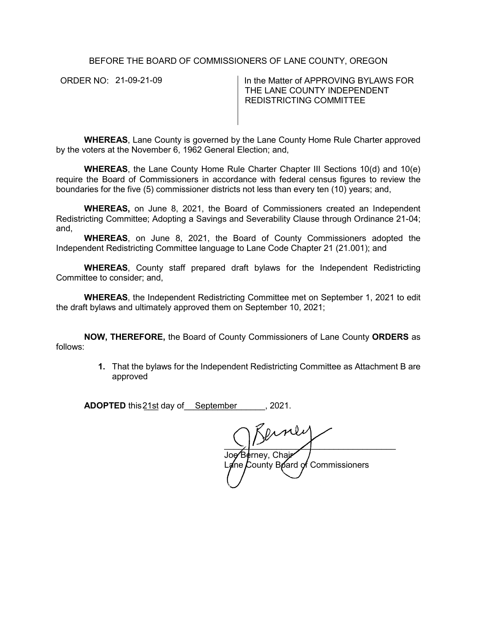BEFORE THE BOARD OF COMMISSIONERS OF LANE COUNTY, OREGON

ORDER NO: 21-09-21-09

In the Matter of APPROVING BYLAWS FOR THE LANE COUNTY INDEPENDENT REDISTRICTING COMMITTEE

**WHEREAS**, Lane County is governed by the Lane County Home Rule Charter approved by the voters at the November 6, 1962 General Election; and,

**WHEREAS**, the Lane County Home Rule Charter Chapter III Sections 10(d) and 10(e) require the Board of Commissioners in accordance with federal census figures to review the boundaries for the five (5) commissioner districts not less than every ten (10) years; and,

**WHEREAS,** on June 8, 2021, the Board of Commissioners created an Independent Redistricting Committee; Adopting a Savings and Severability Clause through Ordinance 21-04; and,

**WHEREAS**, on June 8, 2021, the Board of County Commissioners adopted the Independent Redistricting Committee language to Lane Code Chapter 21 (21.001); and

**WHEREAS**, County staff prepared draft bylaws for the Independent Redistricting Committee to consider; and,

**WHEREAS**, the Independent Redistricting Committee met on September 1, 2021 to edit the draft bylaws and ultimately approved them on September 10, 2021;

**NOW, THEREFORE,** the Board of County Commissioners of Lane County **ORDERS** as follows:

> **1.** That the bylaws for the Independent Redistricting Committee as Attachment B are approved

**ADOPTED** this 21st day of September 1, 2021.

 $\frac{1}{\sqrt{2}}$ Joe⁄'B¢rney, Chajr La⁄ine County Board of Commissioners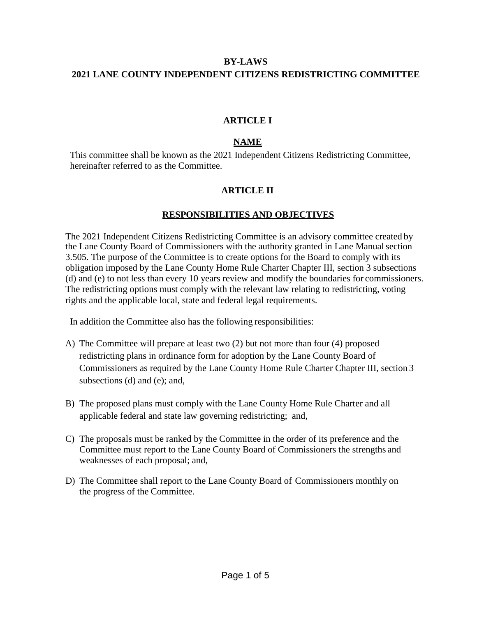# **BY-LAWS 2021 LANE COUNTY INDEPENDENT CITIZENS REDISTRICTING COMMITTEE**

#### **ARTICLE I**

#### **NAME**

This committee shall be known as the 2021 Independent Citizens Redistricting Committee, hereinafter referred to as the Committee.

### **ARTICLE II**

### **RESPONSIBILITIES AND OBJECTIVES**

The 2021 Independent Citizens Redistricting Committee is an advisory committee created by the Lane County Board of Commissioners with the authority granted in Lane Manualsection 3.505. The purpose of the Committee is to create options for the Board to comply with its obligation imposed by the Lane County Home Rule Charter Chapter III, section 3 subsections (d) and (e) to not less than every 10 years review and modify the boundaries for commissioners. The redistricting options must comply with the relevant law relating to redistricting, voting rights and the applicable local, state and federal legal requirements.

In addition the Committee also has the following responsibilities:

- A) The Committee will prepare at least two (2) but not more than four (4) proposed redistricting plans in ordinance form for adoption by the Lane County Board of Commissioners as required by the Lane County Home Rule Charter Chapter III, section 3 subsections (d) and (e); and,
- B) The proposed plans must comply with the Lane County Home Rule Charter and all applicable federal and state law governing redistricting; and,
- C) The proposals must be ranked by the Committee in the order of its preference and the Committee must report to the Lane County Board of Commissioners the strengths and weaknesses of each proposal; and,
- D) The Committee shall report to the Lane County Board of Commissioners monthly on the progress of the Committee.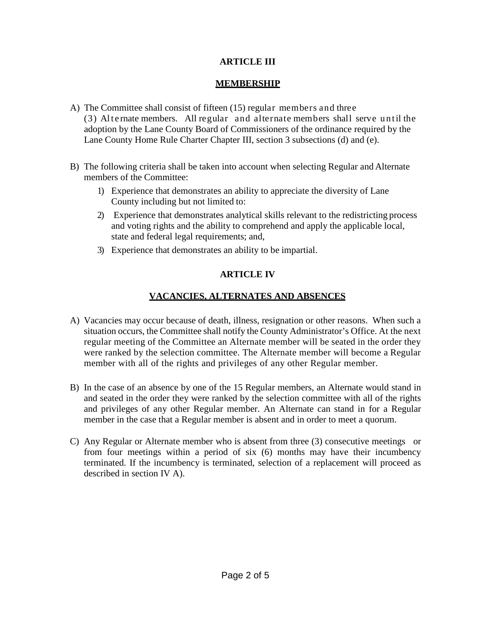# **ARTICLE III**

# **MEMBERSHIP**

- A) The Committee shall consist of fifteen (15) regular members and three (3) Alte rnate members. All regular and alternate members shall serve until the adoption by the Lane County Board of Commissioners of the ordinance required by the Lane County Home Rule Charter Chapter III, section 3 subsections (d) and (e).
- B) The following criteria shall be taken into account when selecting Regular and Alternate members of the Committee:
	- 1) Experience that demonstrates an ability to appreciate the diversity of Lane County including but not limited to:
	- 2) Experience that demonstrates analytical skills relevant to the redistricting process and voting rights and the ability to comprehend and apply the applicable local, state and federal legal requirements; and,
	- 3) Experience that demonstrates an ability to be impartial.

# **ARTICLE IV**

# **VACANCIES, ALTERNATES AND ABSENCES**

- A) Vacancies may occur because of death, illness, resignation or other reasons. When such a situation occurs, the Committee shall notify the County Administrator's Office. At the next regular meeting of the Committee an Alternate member will be seated in the order they were ranked by the selection committee. The Alternate member will become a Regular member with all of the rights and privileges of any other Regular member.
- B) In the case of an absence by one of the 15 Regular members, an Alternate would stand in and seated in the order they were ranked by the selection committee with all of the rights and privileges of any other Regular member. An Alternate can stand in for a Regular member in the case that a Regular member is absent and in order to meet a quorum.
- C) Any Regular or Alternate member who is absent from three (3) consecutive meetings or from four meetings within a period of six (6) months may have their incumbency terminated. If the incumbency is terminated, selection of a replacement will proceed as described in section IV A).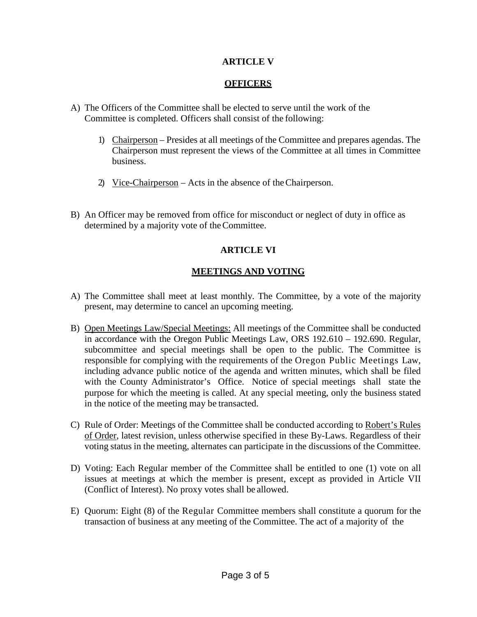### **ARTICLE V**

### **OFFICERS**

- A) The Officers of the Committee shall be elected to serve until the work of the Committee is completed. Officers shall consist of the following:
	- 1) Chairperson Presides at all meetings of the Committee and prepares agendas. The Chairperson must represent the views of the Committee at all times in Committee business.
	- 2) Vice-Chairperson Acts in the absence of theChairperson.
- B) An Officer may be removed from office for misconduct or neglect of duty in office as determined by a majority vote of theCommittee.

#### **ARTICLE VI**

#### **MEETINGS AND VOTING**

- A) The Committee shall meet at least monthly. The Committee, by a vote of the majority present, may determine to cancel an upcoming meeting.
- B) Open Meetings Law/Special Meetings: All meetings of the Committee shall be conducted in accordance with the Oregon Public Meetings Law, ORS 192.610 – 192.690. Regular, subcommittee and special meetings shall be open to the public. The Committee is responsible for complying with the requirements of the Oregon Public Meetings Law, including advance public notice of the agenda and written minutes, which shall be filed with the County Administrator's Office. Notice of special meetings shall state the purpose for which the meeting is called. At any special meeting, only the business stated in the notice of the meeting may be transacted.
- C) Rule of Order: Meetings of the Committee shall be conducted according to Robert's Rules of Order, latest revision, unless otherwise specified in these By-Laws. Regardless of their voting status in the meeting, alternates can participate in the discussions of the Committee.
- D) Voting: Each Regular member of the Committee shall be entitled to one (1) vote on all issues at meetings at which the member is present, except as provided in Article VII (Conflict of Interest). No proxy votes shall be allowed.
- E) Quorum: Eight (8) of the Regular Committee members shall constitute a quorum for the transaction of business at any meeting of the Committee. The act of a majority of the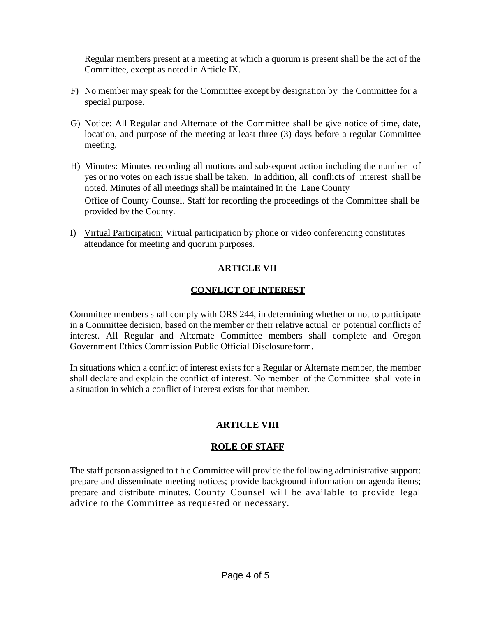Regular members present at a meeting at which a quorum is present shall be the act of the Committee, except as noted in Article IX.

- F) No member may speak for the Committee except by designation by the Committee for a special purpose.
- G) Notice: All Regular and Alternate of the Committee shall be give notice of time, date, location, and purpose of the meeting at least three (3) days before a regular Committee meeting.
- H) Minutes: Minutes recording all motions and subsequent action including the number of yes or no votes on each issue shall be taken. In addition, all conflicts of interest shall be noted. Minutes of all meetings shall be maintained in the Lane County Office of County Counsel. Staff for recording the proceedings of the Committee shall be provided by the County.
- I) Virtual Participation: Virtual participation by phone or video conferencing constitutes attendance for meeting and quorum purposes.

### **ARTICLE VII**

### **CONFLICT OF INTEREST**

Committee members shall comply with ORS 244, in determining whether or not to participate in a Committee decision, based on the member or their relative actual or potential conflicts of interest. All Regular and Alternate Committee members shall complete and Oregon Government Ethics Commission Public Official Disclosure form.

In situations which a conflict of interest exists for a Regular or Alternate member, the member shall declare and explain the conflict of interest. No member of the Committee shall vote in a situation in which a conflict of interest exists for that member.

### **ARTICLE VIII**

### **ROLE OF STAFF**

The staff person assigned to t h e Committee will provide the following administrative support: prepare and disseminate meeting notices; provide background information on agenda items; prepare and distribute minutes. County Counsel will be available to provide legal advice to the Committee as requested or necessary.